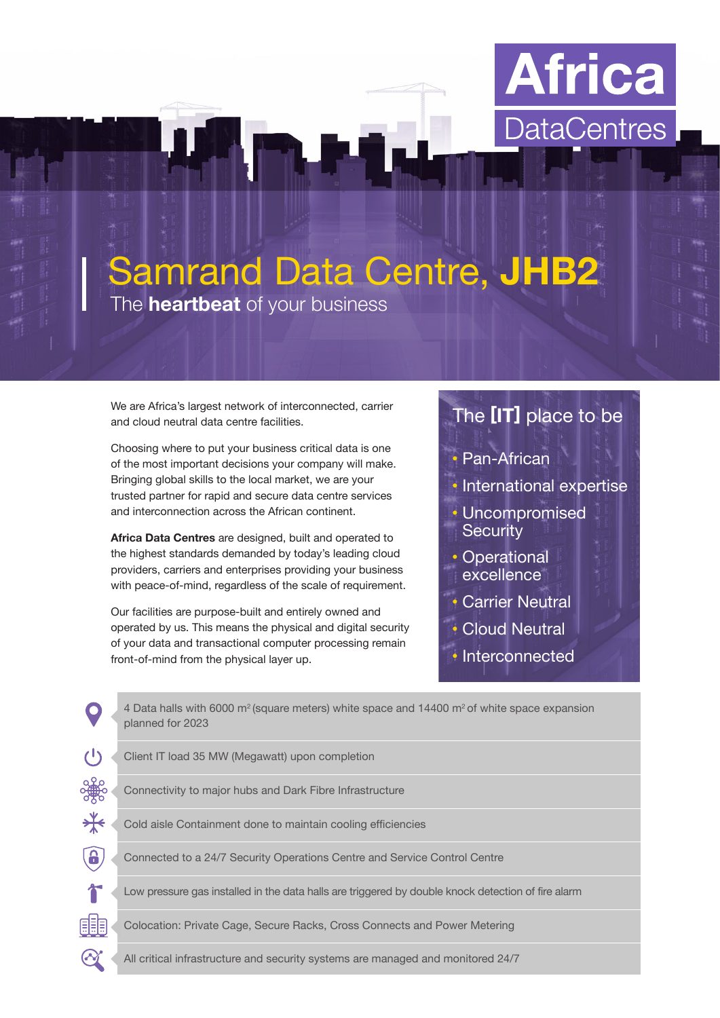

# Samrand Data Centre, **JHB2**

The **heartbeat** of your business

We are Africa's largest network of interconnected, carrier and cloud neutral data centre facilities.

Choosing where to put your business critical data is one of the most important decisions your company will make. Bringing global skills to the local market, we are your trusted partner for rapid and secure data centre services and interconnection across the African continent.

**Africa Data Centres** are designed, built and operated to the highest standards demanded by today's leading cloud providers, carriers and enterprises providing your business with peace-of-mind, regardless of the scale of requirement.

Our facilities are purpose-built and entirely owned and operated by us. This means the physical and digital security of your data and transactional computer processing remain front-of-mind from the physical layer up.

# The **[IT]** place to be

- Pan-African
- International expertise
- Uncompromised **Security**
- Operational excellence
- Carrier Neutral
- **Cloud Neutral**
- Interconnected

|                     | 4 Data halls with 6000 $m^2$ (square meters) white space and 14400 $m^2$ of white space expansion<br>planned for 2023 |
|---------------------|-----------------------------------------------------------------------------------------------------------------------|
| $\mathcal{L}^{(1)}$ | Client IT load 35 MW (Megawatt) upon completion                                                                       |
| ၁)<br>၁၂၂၁          | Connectivity to major hubs and Dark Fibre Infrastructure                                                              |
| <del>*</del>        | Cold aisle Containment done to maintain cooling efficiencies                                                          |
| $\mathbf{a}$        | Connected to a 24/7 Security Operations Centre and Service Control Centre                                             |
|                     | Low pressure gas installed in the data halls are triggered by double knock detection of fire alarm                    |
| 明                   | Colocation: Private Cage, Secure Racks, Cross Connects and Power Metering                                             |
|                     | All critical infrastructure and security systems are managed and monitored 24/7                                       |